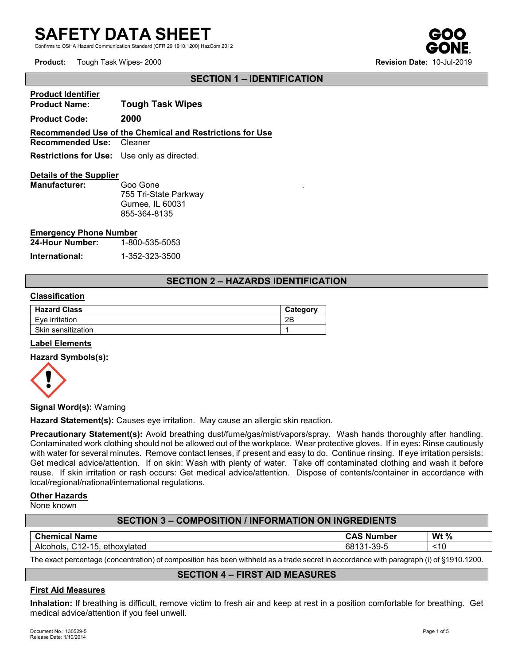# **SAFETY DATA SHEET**

d Communication Standard (CFR 29 1910.1200) HazCom 2012

**Product:** Tough Task Wipes- 2000 **Revision Date:** 10-Jul-2019

**Product Identifier** 

## **SECTION 1 – IDENTIFICATION**

| <b>Product Identifier</b>                          |                                                          |  |
|----------------------------------------------------|----------------------------------------------------------|--|
| <b>Product Name:</b>                               | <b>Tough Task Wipes</b>                                  |  |
| <b>Product Code:</b>                               | 2000                                                     |  |
|                                                    | Recommended Use of the Chemical and Restrictions for Use |  |
| <b>Recommended Use: Cleaner</b>                    |                                                          |  |
| <b>Restrictions for Use:</b> Use only as directed. |                                                          |  |
| <b>Details of the Supplier</b>                     |                                                          |  |
|                                                    |                                                          |  |

**Manufacturer:** Goo Gone 755 Tri-State Parkway Gurnee, IL 60031 855-364-8135

#### **Emergency Phone Number**

| 24-Hour Number: | 1-800-535-5053 |  |  |
|-----------------|----------------|--|--|
| International:  | 1-352-323-3500 |  |  |

# **SECTION 2 – HAZARDS IDENTIFICATION**

.

#### **Classification**

| <b>Hazard Class</b> | Category |
|---------------------|----------|
| Eve irritation      | 2Β       |
| Skin sensitization  |          |

## **Label Elements**

## **Hazard Symbols(s):**



**Signal Word(s):** Warning

**Hazard Statement(s):** Causes eye irritation. May cause an allergic skin reaction.

**Precautionary Statement(s):** Avoid breathing dust/fume/gas/mist/vapors/spray. Wash hands thoroughly after handling. Contaminated work clothing should not be allowed out of the workplace. Wear protective gloves. If in eyes: Rinse cautiously with water for several minutes. Remove contact lenses, if present and easy to do. Continue rinsing. If eye irritation persists: Get medical advice/attention. If on skin: Wash with plenty of water. Take off contaminated clothing and wash it before reuse. If skin irritation or rash occurs: Get medical advice/attention. Dispose of contents/container in accordance with local/regional/national/international regulations.

#### **Other Hazards**

None known

# **SECTION 3 – COMPOSITION / INFORMATION ON INGREDIENTS**

| <b>Chemical</b><br>Name                               | umber<br>- NL<br>- GAD | Wt $%$ |
|-------------------------------------------------------|------------------------|--------|
| 15<br>ヽィ つ<br>ethoxvlated<br>Alcohols.<br>-١۷ ب<br>⊣ບ | $-39-5$<br>ರಿರ<br>ີ    | <10    |

The exact percentage (concentration) of composition has been withheld as a trade secret in accordance with paragraph (i) of §1910.1200.

## **SECTION 4 – FIRST AID MEASURES**

## **First Aid Measures**

**Inhalation:** If breathing is difficult, remove victim to fresh air and keep at rest in a position comfortable for breathing. Get medical advice/attention if you feel unwell.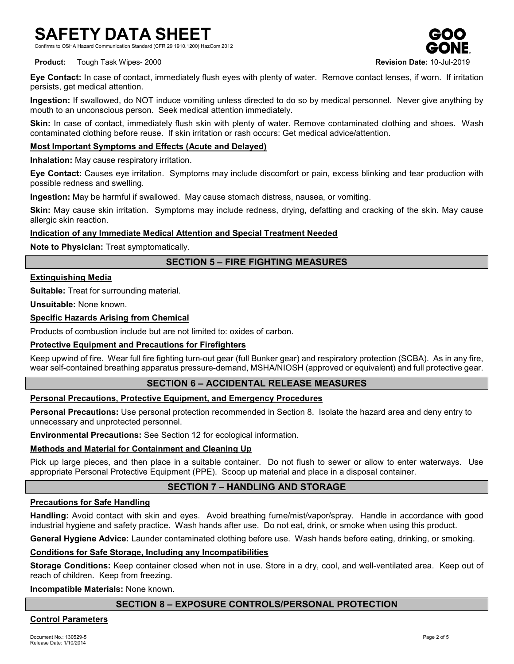# **SAFETY DATA SHEET**

Communication Standard (CFR 29 1910.1200) HazCom 2012



**Product:** Tough Task Wipes- 2000 **Revision Date:** 10-Jul-2019

**Eye Contact:** In case of contact, immediately flush eyes with plenty of water. Remove contact lenses, if worn. If irritation persists, get medical attention.

**Ingestion:** If swallowed, do NOT induce vomiting unless directed to do so by medical personnel. Never give anything by mouth to an unconscious person. Seek medical attention immediately.

**Skin:** In case of contact, immediately flush skin with plenty of water. Remove contaminated clothing and shoes. Wash contaminated clothing before reuse. If skin irritation or rash occurs: Get medical advice/attention.

## **Most Important Symptoms and Effects (Acute and Delayed)**

**Inhalation:** May cause respiratory irritation.

**Eye Contact:** Causes eye irritation. Symptoms may include discomfort or pain, excess blinking and tear production with possible redness and swelling.

**Ingestion:** May be harmful if swallowed. May cause stomach distress, nausea, or vomiting.

**Skin:** May cause skin irritation. Symptoms may include redness, drying, defatting and cracking of the skin. May cause allergic skin reaction.

## **Indication of any Immediate Medical Attention and Special Treatment Needed**

**Note to Physician:** Treat symptomatically.

# **SECTION 5 – FIRE FIGHTING MEASURES**

## **Extinguishing Media**

**Suitable:** Treat for surrounding material.

**Unsuitable:** None known.

#### **Specific Hazards Arising from Chemical**

Products of combustion include but are not limited to: oxides of carbon.

#### **Protective Equipment and Precautions for Firefighters**

Keep upwind of fire. Wear full fire fighting turn-out gear (full Bunker gear) and respiratory protection (SCBA). As in any fire, wear self-contained breathing apparatus pressure-demand, MSHA/NIOSH (approved or equivalent) and full protective gear.

## **SECTION 6 – ACCIDENTAL RELEASE MEASURES**

## **Personal Precautions, Protective Equipment, and Emergency Procedures**

**Personal Precautions:** Use personal protection recommended in Section 8. Isolate the hazard area and deny entry to unnecessary and unprotected personnel.

**Environmental Precautions:** See Section 12 for ecological information.

## **Methods and Material for Containment and Cleaning Up**

Pick up large pieces, and then place in a suitable container. Do not flush to sewer or allow to enter waterways. Use appropriate Personal Protective Equipment (PPE). Scoop up material and place in a disposal container.

# **SECTION 7 – HANDLING AND STORAGE**

## **Precautions for Safe Handling**

**Handling:** Avoid contact with skin and eyes. Avoid breathing fume/mist/vapor/spray. Handle in accordance with good industrial hygiene and safety practice. Wash hands after use. Do not eat, drink, or smoke when using this product.

**General Hygiene Advice:** Launder contaminated clothing before use. Wash hands before eating, drinking, or smoking.

## **Conditions for Safe Storage, Including any Incompatibilities**

**Storage Conditions:** Keep container closed when not in use. Store in a dry, cool, and well-ventilated area. Keep out of reach of children. Keep from freezing.

#### **Incompatible Materials:** None known.

# **SECTION 8 – EXPOSURE CONTROLS/PERSONAL PROTECTION**

## **Control Parameters**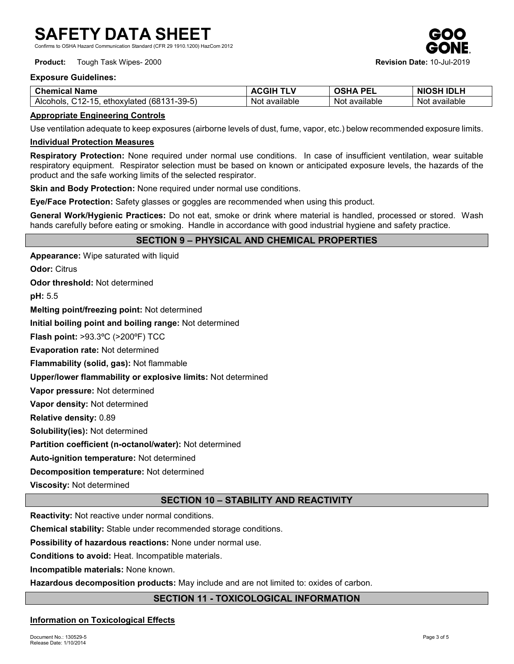Communication Standard (CFR 29 1910.1200) HazCom 2012

**Product:** Tough Task Wipes- 2000 **Revision Date:** 10-Jul-2019



## **Exposure Guidelines:**

| <b>Chemical</b><br>Name                                                     | AGGIP            | יפח<br>PEL<br>JSHA | <b>IDLH</b><br><b>NIC</b><br>OSF |
|-----------------------------------------------------------------------------|------------------|--------------------|----------------------------------|
| 131-39-5)<br>(681<br>$\lambda$<br>1 F<br>Alcohols<br>ethoxvlated<br>⊣ Z÷ L' | available<br>Not | available<br>Not   | <br>available<br>Not             |

## **Appropriate Engineering Controls**

Use ventilation adequate to keep exposures (airborne levels of dust, fume, vapor, etc.) below recommended exposure limits.

#### **Individual Protection Measures**

**Respiratory Protection:** None required under normal use conditions. In case of insufficient ventilation, wear suitable respiratory equipment. Respirator selection must be based on known or anticipated exposure levels, the hazards of the product and the safe working limits of the selected respirator.

**Skin and Body Protection:** None required under normal use conditions.

**Eye/Face Protection:** Safety glasses or goggles are recommended when using this product.

**General Work/Hygienic Practices:** Do not eat, smoke or drink where material is handled, processed or stored. Wash hands carefully before eating or smoking. Handle in accordance with good industrial hygiene and safety practice.

## **SECTION 9 – PHYSICAL AND CHEMICAL PROPERTIES**

**Appearance:** Wipe saturated with liquid

**Odor:** Citrus

**Odor threshold:** Not determined

**pH:** 5.5

**Melting point/freezing point:** Not determined

**Initial boiling point and boiling range:** Not determined

**Flash point:** >93.3ºC (>200ºF) TCC

**Evaporation rate:** Not determined

**Flammability (solid, gas):** Not flammable

**Upper/lower flammability or explosive limits:** Not determined

**Vapor pressure:** Not determined

**Vapor density:** Not determined

**Relative density:** 0.89

**Solubility(ies):** Not determined

**Partition coefficient (n-octanol/water):** Not determined

**Auto-ignition temperature:** Not determined

**Decomposition temperature:** Not determined

**Viscosity:** Not determined

# **SECTION 10 – STABILITY AND REACTIVITY**

**Reactivity:** Not reactive under normal conditions.

**Chemical stability:** Stable under recommended storage conditions.

**Possibility of hazardous reactions:** None under normal use.

**Conditions to avoid:** Heat. Incompatible materials.

**Incompatible materials:** None known.

**Hazardous decomposition products:** May include and are not limited to: oxides of carbon.

# **SECTION 11 - TOXICOLOGICAL INFORMATION**

## **Information on Toxicological Effects**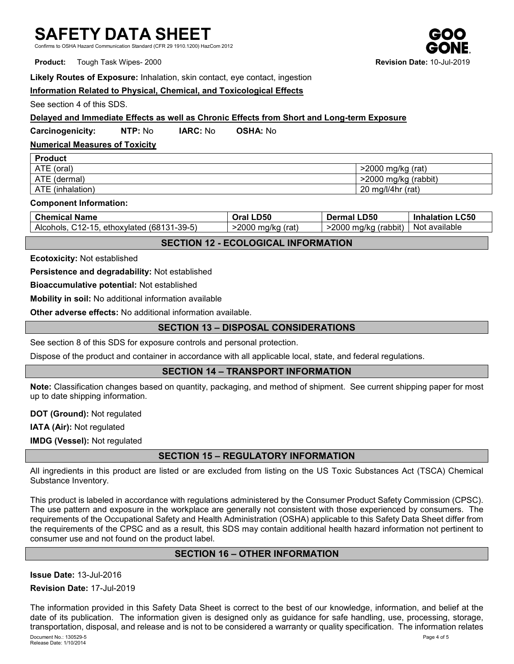# **SAFETY DATA SHEET**

Communication Standard (CFR 29 1910.1200) HazCom 2012

**Product:** Tough Task Wipes- 2000 **Revision Date: 10-**

#### **Likely Routes of Exposure:** Inhalation, skin contact, eye contact, ingestion

## **Information Related to Physical, Chemical, and Toxicological Effects**

See section 4 of this SDS.

**Production** 

## **Delayed and Immediate Effects as well as Chronic Effects from Short and Long-term Exposure**

**Carcinogenicity: NTP:** No **IARC:** No **OSHA:** No

# **Numerical Measures of Toxicity**

| <b>Proguct</b>   |                      |
|------------------|----------------------|
| ATE (oral)       | >2000 mg/kg (rat)    |
| ATE (dermal)     | >2000 mg/kg (rabbit) |
| ATE (inhalation) | 20 mg/l/4hr (rat)    |

#### **Component Information:**

| <b>Chemical Name</b>                       | Oral LD50        | <b>Dermal LD50</b>      | <b>Inhalation LC50</b> |
|--------------------------------------------|------------------|-------------------------|------------------------|
| Alcohols, C12-15, ethoxylated (68131-39-5) | 2000 mg/kg (rat) | $>$ 2000 mg/kg (rabbit) | Not available          |

## **SECTION 12 - ECOLOGICAL INFORMATION**

**Ecotoxicity:** Not established

**Persistence and degradability:** Not established

**Bioaccumulative potential:** Not established

**Mobility in soil:** No additional information available

**Other adverse effects:** No additional information available.

## **SECTION 13 – DISPOSAL CONSIDERATIONS**

See section 8 of this SDS for exposure controls and personal protection.

Dispose of the product and container in accordance with all applicable local, state, and federal regulations.

## **SECTION 14 – TRANSPORT INFORMATION**

**Note:** Classification changes based on quantity, packaging, and method of shipment. See current shipping paper for most up to date shipping information.

**DOT (Ground):** Not regulated

**IATA (Air):** Not regulated

**IMDG (Vessel):** Not regulated

# **SECTION 15 – REGULATORY INFORMATION**

All ingredients in this product are listed or are excluded from listing on the US Toxic Substances Act (TSCA) Chemical Substance Inventory.

This product is labeled in accordance with regulations administered by the Consumer Product Safety Commission (CPSC). The use pattern and exposure in the workplace are generally not consistent with those experienced by consumers. The requirements of the Occupational Safety and Health Administration (OSHA) applicable to this Safety Data Sheet differ from the requirements of the CPSC and as a result, this SDS may contain additional health hazard information not pertinent to consumer use and not found on the product label.

# **SECTION 16 – OTHER INFORMATION**

**Issue Date:** 13-Jul-2016

**Revision Date:** 17-Jul-2019

Document No.: 130529-5 Page 4 of 5 Release Date: 1/10/2014 The information provided in this Safety Data Sheet is correct to the best of our knowledge, information, and belief at the date of its publication. The information given is designed only as guidance for safe handling, use, processing, storage, transportation, disposal, and release and is not to be considered a warranty or quality specification. The information relates